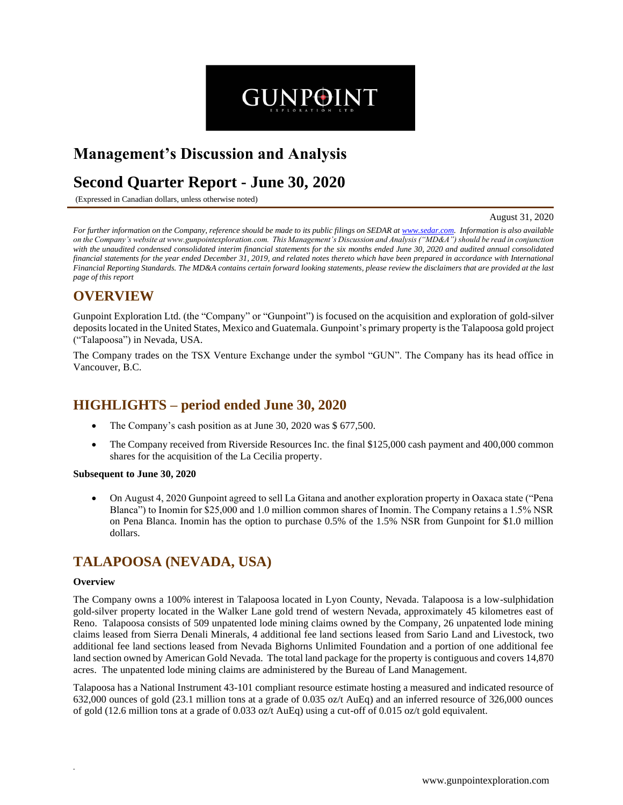# **Management's Discussion and Analysis**

# **Second Quarter Report - June 30, 2020**

(Expressed in Canadian dollars, unless otherwise noted)

August 31, 2020

*For further information on the Company, reference should be made to its public filings on SEDAR at www.sedar.com. Information is also available on the Company's website at www.gunpointexploration.com. This Management's Discussion and Analysis ("MD&A") should be read in conjunction with the unaudited condensed consolidated interim financial statements for the six months ended June 30, 2020 and audited annual consolidated financial statements for the year ended December 31, 2019, and related notes thereto which have been prepared in accordance with International Financial Reporting Standards. The MD&A contains certain forward looking statements, please review the disclaimers that are provided at the last page of this report*

**GUNPOINT** 

## **OVERVIEW**

Gunpoint Exploration Ltd. (the "Company" or "Gunpoint") is focused on the acquisition and exploration of gold-silver depositslocated in the United States, Mexico and Guatemala. Gunpoint's primary property is the Talapoosa gold project ("Talapoosa") in Nevada, USA.

The Company trades on the TSX Venture Exchange under the symbol "GUN". The Company has its head office in Vancouver, B.C.

# **HIGHLIGHTS – period ended June 30, 2020**

- The Company's cash position as at June 30, 2020 was \$ 677,500.
- The Company received from Riverside Resources Inc. the final \$125,000 cash payment and 400,000 common shares for the acquisition of the La Cecilia property.

#### **Subsequent to June 30, 2020**

• On August 4, 2020 Gunpoint agreed to sell La Gitana and another exploration property in Oaxaca state ("Pena Blanca") to Inomin for \$25,000 and 1.0 million common shares of Inomin. The Company retains a 1.5% NSR on Pena Blanca. Inomin has the option to purchase 0.5% of the 1.5% NSR from Gunpoint for \$1.0 million dollars.

# **TALAPOOSA (NEVADA, USA)**

#### **Overview**

*.* 

The Company owns a 100% interest in Talapoosa located in Lyon County, Nevada. Talapoosa is a low-sulphidation gold-silver property located in the Walker Lane gold trend of western Nevada, approximately 45 kilometres east of Reno. Talapoosa consists of 509 unpatented lode mining claims owned by the Company, 26 unpatented lode mining claims leased from Sierra Denali Minerals, 4 additional fee land sections leased from Sario Land and Livestock, two additional fee land sections leased from Nevada Bighorns Unlimited Foundation and a portion of one additional fee land section owned by American Gold Nevada. The total land package for the property is contiguous and covers 14,870 acres. The unpatented lode mining claims are administered by the Bureau of Land Management.

Talapoosa has a National Instrument 43-101 compliant resource estimate hosting a measured and indicated resource of 632,000 ounces of gold (23.1 million tons at a grade of 0.035 oz/t AuEq) and an inferred resource of 326,000 ounces of gold (12.6 million tons at a grade of 0.033 oz/t AuEq) using a cut-off of 0.015 oz/t gold equivalent.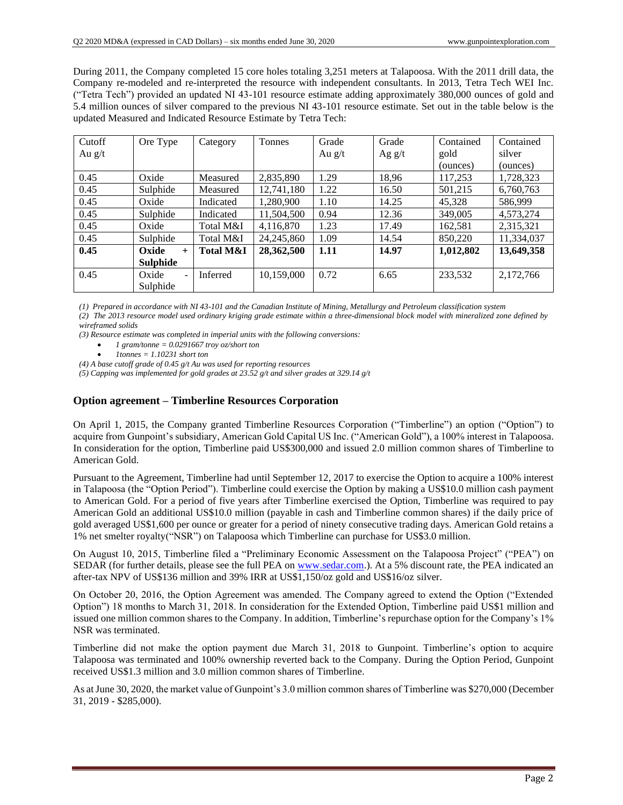During 2011, the Company completed 15 core holes totaling 3,251 meters at Talapoosa. With the 2011 drill data, the Company re-modeled and re-interpreted the resource with independent consultants. In 2013, Tetra Tech WEI Inc. ("Tetra Tech") provided an updated NI 43-101 resource estimate adding approximately 380,000 ounces of gold and 5.4 million ounces of silver compared to the previous NI 43-101 resource estimate. Set out in the table below is the updated Measured and Indicated Resource Estimate by Tetra Tech:

| Cutoff   | Ore Type                | Category             | Tonnes       | Grade    | Grade    | Contained | Contained  |
|----------|-------------------------|----------------------|--------------|----------|----------|-----------|------------|
| Au $g/t$ |                         |                      |              | Au $g/t$ | Ag $g/t$ | gold      | silver     |
|          |                         |                      |              |          |          | (ounces)  | (ounces)   |
| 0.45     | Oxide                   | Measured             | 2,835,890    | 1.29     | 18,96    | 117,253   | 1,728,323  |
| 0.45     | Sulphide                | Measured             | 12,741,180   | 1.22     | 16.50    | 501,215   | 6,760,763  |
| 0.45     | Oxide                   | Indicated            | 1.280.900    | 1.10     | 14.25    | 45.328    | 586.999    |
| 0.45     | Sulphide                | Indicated            | 11,504,500   | 0.94     | 12.36    | 349,005   | 4,573,274  |
| 0.45     | Oxide                   | Total M&I            | 4,116,870    | 1.23     | 17.49    | 162,581   | 2,315,321  |
| 0.45     | Sulphide                | Total M&I            | 24, 245, 860 | 1.09     | 14.54    | 850,220   | 11,334,037 |
| 0.45     | Oxide<br>$^{+}$         | <b>Total M&amp;I</b> | 28,362,500   | 1.11     | 14.97    | 1,012,802 | 13,649,358 |
|          | <b>Sulphide</b>         |                      |              |          |          |           |            |
| 0.45     | Oxide<br>$\blacksquare$ | Inferred             | 10,159,000   | 0.72     | 6.65     | 233,532   | 2,172,766  |
|          | Sulphide                |                      |              |          |          |           |            |

*(1) Prepared in accordance with NI 43-101 and the Canadian Institute of Mining, Metallurgy and Petroleum classification system*

*(2) The 2013 resource model used ordinary kriging grade estimate within a three-dimensional block model with mineralized zone defined by wireframed solids*

*(3) Resource estimate was completed in imperial units with the following conversions:*

- *1 gram/tonne = 0.0291667 troy oz/short ton*
- *1tonnes = 1.10231 short ton*

*(4) A base cutoff grade of 0.45 g/t Au was used for reporting resources*

*(5) Capping was implemented for gold grades at 23.52 g/t and silver grades at 329.14 g/t*

### **Option agreement – Timberline Resources Corporation**

On April 1, 2015, the Company granted Timberline Resources Corporation ("Timberline") an option ("Option") to acquire from Gunpoint's subsidiary, American Gold Capital US Inc. ("American Gold"), a 100% interest in Talapoosa. In consideration for the option, Timberline paid US\$300,000 and issued 2.0 million common shares of Timberline to American Gold.

Pursuant to the Agreement, Timberline had until September 12, 2017 to exercise the Option to acquire a 100% interest in Talapoosa (the "Option Period"). Timberline could exercise the Option by making a US\$10.0 million cash payment to American Gold. For a period of five years after Timberline exercised the Option, Timberline was required to pay American Gold an additional US\$10.0 million (payable in cash and Timberline common shares) if the daily price of gold averaged US\$1,600 per ounce or greater for a period of ninety consecutive trading days. American Gold retains a 1% net smelter royalty("NSR") on Talapoosa which Timberline can purchase for US\$3.0 million.

On August 10, 2015, Timberline filed a "Preliminary Economic Assessment on the Talapoosa Project" ("PEA") on SEDAR (for further details, please see the full PEA on www.sedar.com.). At a 5% discount rate, the PEA indicated an after-tax NPV of US\$136 million and 39% IRR at US\$1,150/oz gold and US\$16/oz silver.

On October 20, 2016, the Option Agreement was amended. The Company agreed to extend the Option ("Extended Option") 18 months to March 31, 2018. In consideration for the Extended Option, Timberline paid US\$1 million and issued one million common shares to the Company. In addition, Timberline's repurchase option for the Company's 1% NSR was terminated.

Timberline did not make the option payment due March 31, 2018 to Gunpoint. Timberline's option to acquire Talapoosa was terminated and 100% ownership reverted back to the Company. During the Option Period, Gunpoint received US\$1.3 million and 3.0 million common shares of Timberline.

As at June 30, 2020, the market value of Gunpoint's 3.0 million common shares of Timberline was \$270,000 (December 31, 2019 - \$285,000).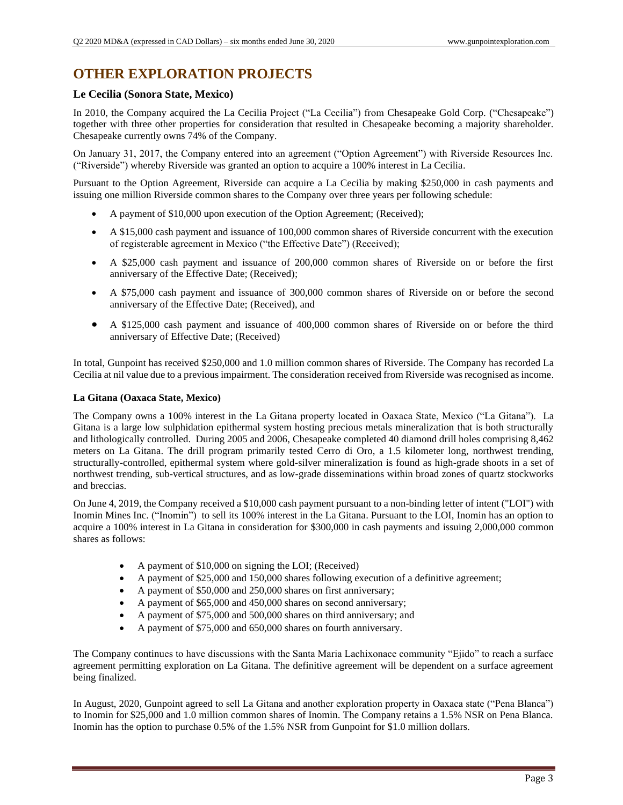# **OTHER EXPLORATION PROJECTS**

### **Le Cecilia (Sonora State, Mexico)**

In 2010, the Company acquired the La Cecilia Project ("La Cecilia") from Chesapeake Gold Corp. ("Chesapeake") together with three other properties for consideration that resulted in Chesapeake becoming a majority shareholder. Chesapeake currently owns 74% of the Company.

On January 31, 2017, the Company entered into an agreement ("Option Agreement") with Riverside Resources Inc. ("Riverside") whereby Riverside was granted an option to acquire a 100% interest in La Cecilia.

Pursuant to the Option Agreement, Riverside can acquire a La Cecilia by making \$250,000 in cash payments and issuing one million Riverside common shares to the Company over three years per following schedule:

- A payment of \$10,000 upon execution of the Option Agreement; (Received);
- A \$15,000 cash payment and issuance of 100,000 common shares of Riverside concurrent with the execution of registerable agreement in Mexico ("the Effective Date") (Received);
- A \$25,000 cash payment and issuance of 200,000 common shares of Riverside on or before the first anniversary of the Effective Date; (Received);
- A \$75,000 cash payment and issuance of 300,000 common shares of Riverside on or before the second anniversary of the Effective Date; (Received), and
- A \$125,000 cash payment and issuance of 400,000 common shares of Riverside on or before the third anniversary of Effective Date; (Received)

In total, Gunpoint has received \$250,000 and 1.0 million common shares of Riverside. The Company has recorded La Cecilia at nil value due to a previous impairment. The consideration received from Riverside was recognised as income.

### **La Gitana (Oaxaca State, Mexico)**

The Company owns a 100% interest in the La Gitana property located in Oaxaca State, Mexico ("La Gitana"). La Gitana is a large low sulphidation epithermal system hosting precious metals mineralization that is both structurally and lithologically controlled. During 2005 and 2006, Chesapeake completed 40 diamond drill holes comprising 8,462 meters on La Gitana. The drill program primarily tested Cerro di Oro, a 1.5 kilometer long, northwest trending, structurally-controlled, epithermal system where gold-silver mineralization is found as high-grade shoots in a set of northwest trending, sub-vertical structures, and as low-grade disseminations within broad zones of quartz stockworks and breccias.

On June 4, 2019, the Company received a \$10,000 cash payment pursuant to a non-binding letter of intent ("LOI") with Inomin Mines Inc. ("Inomin") to sell its 100% interest in the La Gitana. Pursuant to the LOI, Inomin has an option to acquire a 100% interest in La Gitana in consideration for \$300,000 in cash payments and issuing 2,000,000 common shares as follows:

- A payment of \$10,000 on signing the LOI; (Received)
- A payment of \$25,000 and 150,000 shares following execution of a definitive agreement;
- A payment of \$50,000 and 250,000 shares on first anniversary;
- A payment of \$65,000 and 450,000 shares on second anniversary;
- A payment of \$75,000 and 500,000 shares on third anniversary; and
- A payment of \$75,000 and 650,000 shares on fourth anniversary.

The Company continues to have discussions with the Santa Maria Lachixonace community "Ejido" to reach a surface agreement permitting exploration on La Gitana. The definitive agreement will be dependent on a surface agreement being finalized.

In August, 2020, Gunpoint agreed to sell La Gitana and another exploration property in Oaxaca state ("Pena Blanca") to Inomin for \$25,000 and 1.0 million common shares of Inomin. The Company retains a 1.5% NSR on Pena Blanca. Inomin has the option to purchase 0.5% of the 1.5% NSR from Gunpoint for \$1.0 million dollars.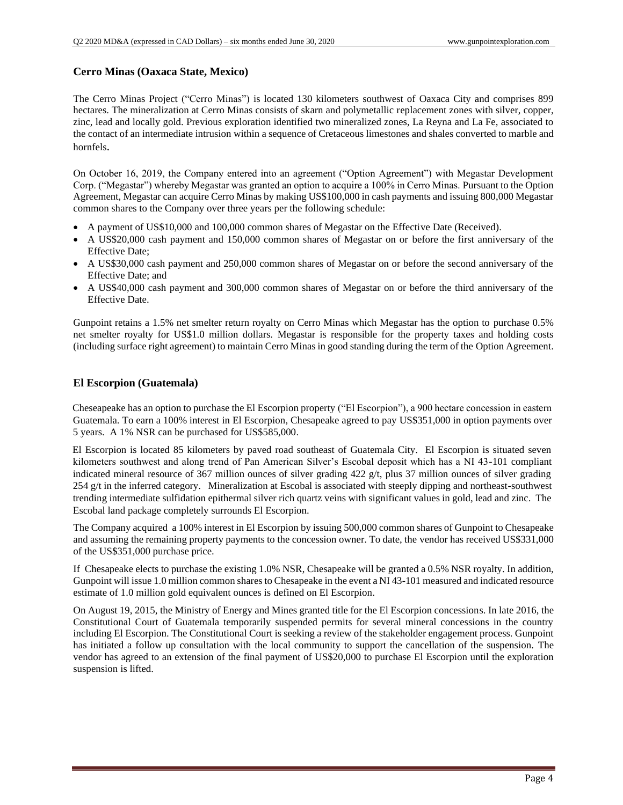### **Cerro Minas (Oaxaca State, Mexico)**

The Cerro Minas Project ("Cerro Minas") is located 130 kilometers southwest of Oaxaca City and comprises 899 hectares. The mineralization at Cerro Minas consists of skarn and polymetallic replacement zones with silver, copper, zinc, lead and locally gold. Previous exploration identified two mineralized zones, La Reyna and La Fe, associated to the contact of an intermediate intrusion within a sequence of Cretaceous limestones and shales converted to marble and hornfels.

On October 16, 2019, the Company entered into an agreement ("Option Agreement") with Megastar Development Corp. ("Megastar") whereby Megastar was granted an option to acquire a 100% in Cerro Minas. Pursuant to the Option Agreement, Megastar can acquire Cerro Minas by making US\$100,000 in cash payments and issuing 800,000 Megastar common shares to the Company over three years per the following schedule:

- A payment of US\$10,000 and 100,000 common shares of Megastar on the Effective Date (Received).
- A US\$20,000 cash payment and 150,000 common shares of Megastar on or before the first anniversary of the Effective Date;
- A US\$30,000 cash payment and 250,000 common shares of Megastar on or before the second anniversary of the Effective Date; and
- A US\$40,000 cash payment and 300,000 common shares of Megastar on or before the third anniversary of the Effective Date.

Gunpoint retains a 1.5% net smelter return royalty on Cerro Minas which Megastar has the option to purchase 0.5% net smelter royalty for US\$1.0 million dollars. Megastar is responsible for the property taxes and holding costs (including surface right agreement) to maintain Cerro Minas in good standing during the term of the Option Agreement.

### **El Escorpion (Guatemala)**

Cheseapeake has an option to purchase the El Escorpion property ("El Escorpion"), a 900 hectare concession in eastern Guatemala. To earn a 100% interest in El Escorpion, Chesapeake agreed to pay US\$351,000 in option payments over 5 years. A 1% NSR can be purchased for US\$585,000.

El Escorpion is located 85 kilometers by paved road southeast of Guatemala City. El Escorpion is situated seven kilometers southwest and along trend of Pan American Silver's Escobal deposit which has a NI 43-101 compliant indicated mineral resource of 367 million ounces of silver grading  $422$  g/t, plus 37 million ounces of silver grading 254 g/t in the inferred category. Mineralization at Escobal is associated with steeply dipping and northeast-southwest trending intermediate sulfidation epithermal silver rich quartz veins with significant values in gold, lead and zinc. The Escobal land package completely surrounds El Escorpion.

The Company acquired a 100% interest in El Escorpion by issuing 500,000 common shares of Gunpoint to Chesapeake and assuming the remaining property payments to the concession owner. To date, the vendor has received US\$331,000 of the US\$351,000 purchase price.

If Chesapeake elects to purchase the existing 1.0% NSR, Chesapeake will be granted a 0.5% NSR royalty. In addition, Gunpoint will issue 1.0 million common shares to Chesapeake in the event a NI 43-101 measured and indicated resource estimate of 1.0 million gold equivalent ounces is defined on El Escorpion.

On August 19, 2015, the Ministry of Energy and Mines granted title for the El Escorpion concessions. In late 2016, the Constitutional Court of Guatemala temporarily suspended permits for several mineral concessions in the country including El Escorpion. The Constitutional Court is seeking a review of the stakeholder engagement process. Gunpoint has initiated a follow up consultation with the local community to support the cancellation of the suspension. The vendor has agreed to an extension of the final payment of US\$20,000 to purchase El Escorpion until the exploration suspension is lifted.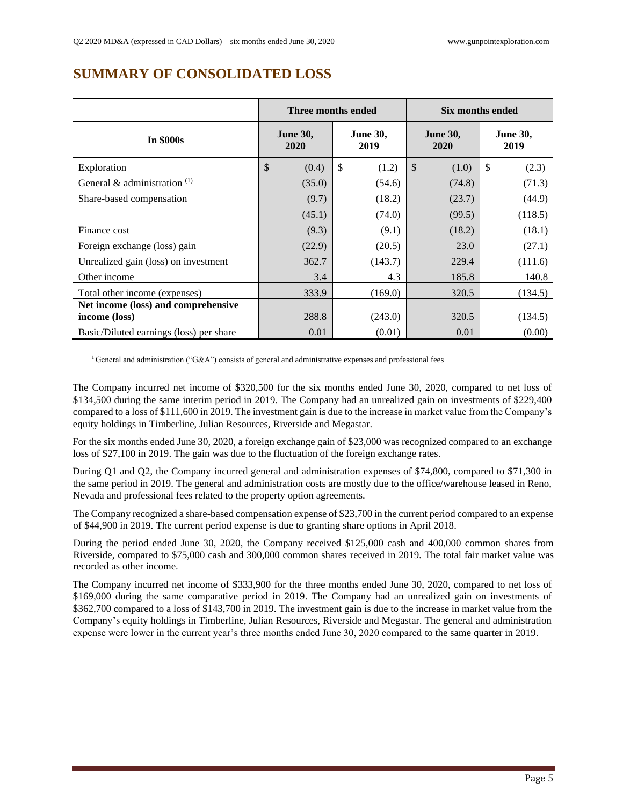|                                         | Three months ended                 |                         | Six months ended        |                         |  |
|-----------------------------------------|------------------------------------|-------------------------|-------------------------|-------------------------|--|
| <b>In \$000s</b>                        | <b>June 30,</b><br>2020            | <b>June 30,</b><br>2019 | <b>June 30,</b><br>2020 | <b>June 30,</b><br>2019 |  |
| Exploration                             | $\boldsymbol{\mathsf{S}}$<br>(0.4) | \$<br>(1.2)             | $\mathcal{S}$<br>(1.0)  | \$<br>(2.3)             |  |
| General & administration $(1)$          | (35.0)                             | (54.6)                  | (74.8)                  | (71.3)                  |  |
| Share-based compensation                | (9.7)                              | (18.2)                  | (23.7)                  | (44.9)                  |  |
|                                         | (45.1)                             | (74.0)                  | (99.5)                  | (118.5)                 |  |
| Finance cost                            | (9.3)                              | (9.1)                   | (18.2)                  | (18.1)                  |  |
| Foreign exchange (loss) gain            | (22.9)                             | (20.5)                  | 23.0                    | (27.1)                  |  |
| Unrealized gain (loss) on investment    | 362.7                              | (143.7)                 | 229.4                   | (111.6)                 |  |
| Other income                            | 3.4                                | 4.3                     | 185.8                   | 140.8                   |  |
| Total other income (expenses)           | 333.9                              | (169.0)                 | 320.5                   | (134.5)                 |  |
| Net income (loss) and comprehensive     |                                    |                         |                         |                         |  |
| income (loss)                           | 288.8                              | (243.0)                 | 320.5                   | (134.5)                 |  |
| Basic/Diluted earnings (loss) per share | 0.01                               | (0.01)                  | 0.01                    | (0.00)                  |  |

# **SUMMARY OF CONSOLIDATED LOSS**

<sup>1</sup> General and administration ("G&A") consists of general and administrative expenses and professional fees

The Company incurred net income of \$320,500 for the six months ended June 30, 2020, compared to net loss of \$134,500 during the same interim period in 2019. The Company had an unrealized gain on investments of \$229,400 compared to a loss of \$111,600 in 2019. The investment gain is due to the increase in market value from the Company's equity holdings in Timberline, Julian Resources, Riverside and Megastar.

For the six months ended June 30, 2020, a foreign exchange gain of \$23,000 was recognized compared to an exchange loss of \$27,100 in 2019. The gain was due to the fluctuation of the foreign exchange rates.

During Q1 and Q2, the Company incurred general and administration expenses of \$74,800, compared to \$71,300 in the same period in 2019. The general and administration costs are mostly due to the office/warehouse leased in Reno, Nevada and professional fees related to the property option agreements.

The Company recognized a share-based compensation expense of \$23,700 in the current period compared to an expense of \$44,900 in 2019. The current period expense is due to granting share options in April 2018.

During the period ended June 30, 2020, the Company received \$125,000 cash and 400,000 common shares from Riverside, compared to \$75,000 cash and 300,000 common shares received in 2019. The total fair market value was recorded as other income.

The Company incurred net income of \$333,900 for the three months ended June 30, 2020, compared to net loss of \$169,000 during the same comparative period in 2019. The Company had an unrealized gain on investments of \$362,700 compared to a loss of \$143,700 in 2019. The investment gain is due to the increase in market value from the Company's equity holdings in Timberline, Julian Resources, Riverside and Megastar. The general and administration expense were lower in the current year's three months ended June 30, 2020 compared to the same quarter in 2019.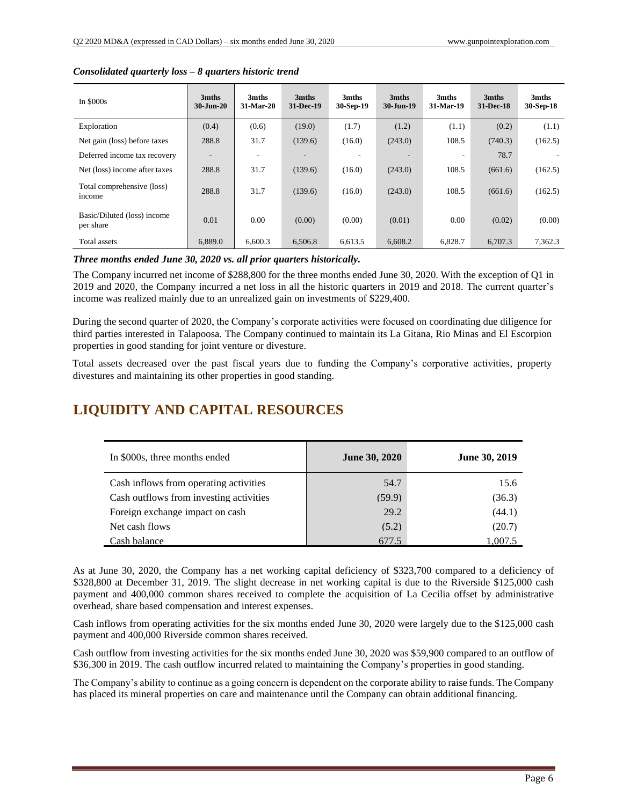| In $$000s$                               | 3mths<br>$30 - Jun - 20$ | 3mths<br>31-Mar-20 | 3mths<br>31-Dec-19 | 3mths<br>30-Sep-19 | 3mths<br>$30 - Jun-19$ | 3mths<br>31-Mar-19 | 3mths<br>31-Dec-18 | 3mths<br>30-Sep-18 |
|------------------------------------------|--------------------------|--------------------|--------------------|--------------------|------------------------|--------------------|--------------------|--------------------|
| Exploration                              | (0.4)                    | (0.6)              | (19.0)             | (1.7)              | (1.2)                  | (1.1)              | (0.2)              | (1.1)              |
| Net gain (loss) before taxes             | 288.8                    | 31.7               | (139.6)            | (16.0)             | (243.0)                | 108.5              | (740.3)            | (162.5)            |
| Deferred income tax recovery             |                          | ٠                  |                    |                    |                        |                    | 78.7               |                    |
| Net (loss) income after taxes            | 288.8                    | 31.7               | (139.6)            | (16.0)             | (243.0)                | 108.5              | (661.6)            | (162.5)            |
| Total comprehensive (loss)<br>income     | 288.8                    | 31.7               | (139.6)            | (16.0)             | (243.0)                | 108.5              | (661.6)            | (162.5)            |
| Basic/Diluted (loss) income<br>per share | 0.01                     | 0.00               | (0.00)             | (0.00)             | (0.01)                 | 0.00               | (0.02)             | (0.00)             |
| Total assets                             | 6,889.0                  | 6,600.3            | 6,506.8            | 6,613.5            | 6,608.2                | 6,828.7            | 6,707.3            | 7,362.3            |

#### *Consolidated quarterly loss – 8 quarters historic trend*

*Three months ended June 30, 2020 vs. all prior quarters historically.*

The Company incurred net income of \$288,800 for the three months ended June 30, 2020. With the exception of Q1 in 2019 and 2020, the Company incurred a net loss in all the historic quarters in 2019 and 2018. The current quarter's income was realized mainly due to an unrealized gain on investments of \$229,400.

During the second quarter of 2020, the Company's corporate activities were focused on coordinating due diligence for third parties interested in Talapoosa. The Company continued to maintain its La Gitana, Rio Minas and El Escorpion properties in good standing for joint venture or divesture.

Total assets decreased over the past fiscal years due to funding the Company's corporative activities, property divestures and maintaining its other properties in good standing.

# **LIQUIDITY AND CAPITAL RESOURCES**

| In \$000s, three months ended           | <b>June 30, 2020</b> | <b>June 30, 2019</b> |
|-----------------------------------------|----------------------|----------------------|
| Cash inflows from operating activities  | 54.7                 | 15.6                 |
| Cash outflows from investing activities | (59.9)               | (36.3)               |
| Foreign exchange impact on cash         | 29.2                 | (44.1)               |
| Net cash flows                          | (5.2)                | (20.7)               |
| Cash balance                            | 677.5                | 1,007.5              |

As at June 30, 2020, the Company has a net working capital deficiency of \$323,700 compared to a deficiency of \$328,800 at December 31, 2019. The slight decrease in net working capital is due to the Riverside \$125,000 cash payment and 400,000 common shares received to complete the acquisition of La Cecilia offset by administrative overhead, share based compensation and interest expenses.

Cash inflows from operating activities for the six months ended June 30, 2020 were largely due to the \$125,000 cash payment and 400,000 Riverside common shares received.

Cash outflow from investing activities for the six months ended June 30, 2020 was \$59,900 compared to an outflow of \$36,300 in 2019. The cash outflow incurred related to maintaining the Company's properties in good standing.

The Company's ability to continue as a going concern is dependent on the corporate ability to raise funds. The Company has placed its mineral properties on care and maintenance until the Company can obtain additional financing.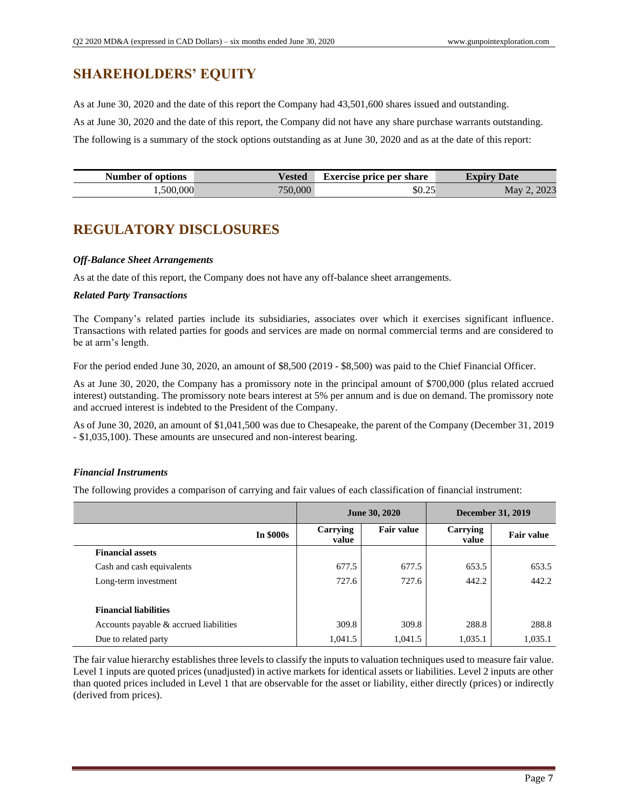# **SHAREHOLDERS' EQUITY**

As at June 30, 2020 and the date of this report the Company had 43,501,600 shares issued and outstanding. As at June 30, 2020 and the date of this report, the Company did not have any share purchase warrants outstanding. The following is a summary of the stock options outstanding as at June 30, 2020 and as at the date of this report:

| Number of options | Vested  | <b>Exercise price per share</b> | <b>Expiry</b><br><b>Date</b> |
|-------------------|---------|---------------------------------|------------------------------|
| 1,500,000         | 750,000 | \$0.25                          | 2023<br>May                  |

# **REGULATORY DISCLOSURES**

### *Off-Balance Sheet Arrangements*

As at the date of this report, the Company does not have any off-balance sheet arrangements.

### *Related Party Transactions*

The Company's related parties include its subsidiaries, associates over which it exercises significant influence. Transactions with related parties for goods and services are made on normal commercial terms and are considered to be at arm's length.

For the period ended June 30, 2020, an amount of \$8,500 (2019 - \$8,500) was paid to the Chief Financial Officer.

As at June 30, 2020, the Company has a promissory note in the principal amount of \$700,000 (plus related accrued interest) outstanding. The promissory note bears interest at 5% per annum and is due on demand. The promissory note and accrued interest is indebted to the President of the Company.

As of June 30, 2020, an amount of \$1,041,500 was due to Chesapeake, the parent of the Company (December 31, 2019 - \$1,035,100). These amounts are unsecured and non-interest bearing.

### *Financial Instruments*

The following provides a comparison of carrying and fair values of each classification of financial instrument:

|                                        | <b>June 30, 2020</b> |                   | <b>December 31, 2019</b> |                   |
|----------------------------------------|----------------------|-------------------|--------------------------|-------------------|
| <b>In \$000s</b>                       | Carrying<br>value    | <b>Fair value</b> | Carrying<br>value        | <b>Fair value</b> |
| <b>Financial assets</b>                |                      |                   |                          |                   |
| Cash and cash equivalents              | 677.5                | 677.5             | 653.5                    | 653.5             |
| Long-term investment                   | 727.6                | 727.6             | 442.2                    | 442.2             |
| <b>Financial liabilities</b>           |                      |                   |                          |                   |
| Accounts payable & accrued liabilities | 309.8                | 309.8             | 288.8                    | 288.8             |
| Due to related party                   | 1,041.5              | 1,041.5           | 1,035.1                  | 1,035.1           |

The fair value hierarchy establishes three levels to classify the inputs to valuation techniques used to measure fair value. Level 1 inputs are quoted prices (unadjusted) in active markets for identical assets or liabilities. Level 2 inputs are other than quoted prices included in Level 1 that are observable for the asset or liability, either directly (prices) or indirectly (derived from prices).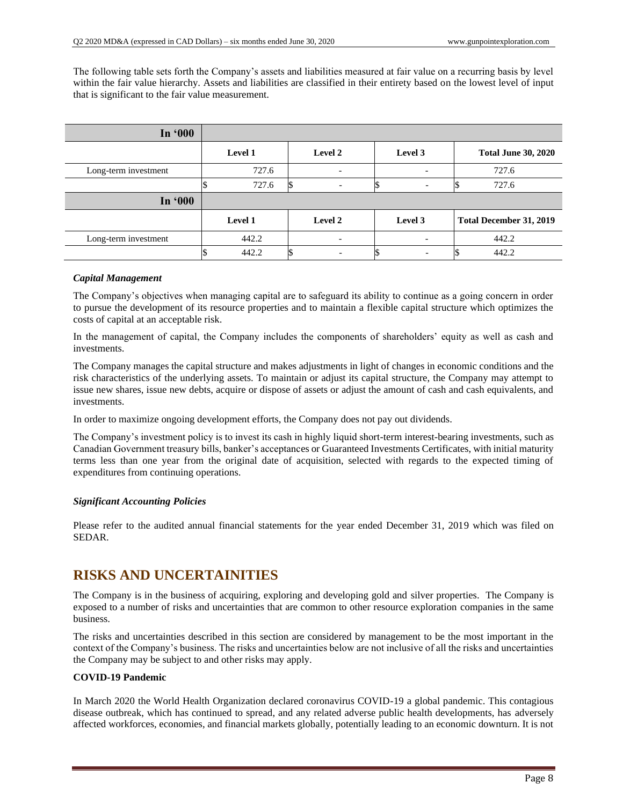The following table sets forth the Company's assets and liabilities measured at fair value on a recurring basis by level within the fair value hierarchy. Assets and liabilities are classified in their entirety based on the lowest level of input that is significant to the fair value measurement.

| In '000              |         |                          |                          |                            |  |
|----------------------|---------|--------------------------|--------------------------|----------------------------|--|
|                      | Level 1 | Level 2                  | Level 3                  | <b>Total June 30, 2020</b> |  |
| Long-term investment | 727.6   | $\overline{\phantom{a}}$ |                          | 727.6                      |  |
|                      | 727.6   | $\overline{\phantom{0}}$ | $\overline{\phantom{0}}$ | 727.6                      |  |
| In '000              |         |                          |                          |                            |  |
|                      | Level 1 | Level 2                  | Level 3                  | Total December 31, 2019    |  |
| Long-term investment | 442.2   | $\overline{\phantom{0}}$ |                          | 442.2                      |  |
|                      | 442.2   |                          |                          | 442.2                      |  |

#### *Capital Management*

The Company's objectives when managing capital are to safeguard its ability to continue as a going concern in order to pursue the development of its resource properties and to maintain a flexible capital structure which optimizes the costs of capital at an acceptable risk.

In the management of capital, the Company includes the components of shareholders' equity as well as cash and investments.

The Company manages the capital structure and makes adjustments in light of changes in economic conditions and the risk characteristics of the underlying assets. To maintain or adjust its capital structure, the Company may attempt to issue new shares, issue new debts, acquire or dispose of assets or adjust the amount of cash and cash equivalents, and investments.

In order to maximize ongoing development efforts, the Company does not pay out dividends.

The Company's investment policy is to invest its cash in highly liquid short-term interest-bearing investments, such as Canadian Government treasury bills, banker's acceptances or Guaranteed Investments Certificates, with initial maturity terms less than one year from the original date of acquisition, selected with regards to the expected timing of expenditures from continuing operations.

### *Significant Accounting Policies*

Please refer to the audited annual financial statements for the year ended December 31, 2019 which was filed on SEDAR.

# **RISKS AND UNCERTAINITIES**

The Company is in the business of acquiring, exploring and developing gold and silver properties. The Company is exposed to a number of risks and uncertainties that are common to other resource exploration companies in the same business.

The risks and uncertainties described in this section are considered by management to be the most important in the context of the Company's business. The risks and uncertainties below are not inclusive of all the risks and uncertainties the Company may be subject to and other risks may apply.

#### **COVID-19 Pandemic**

In March 2020 the World Health Organization declared coronavirus COVID-19 a global pandemic. This contagious disease outbreak, which has continued to spread, and any related adverse public health developments, has adversely affected workforces, economies, and financial markets globally, potentially leading to an economic downturn. It is not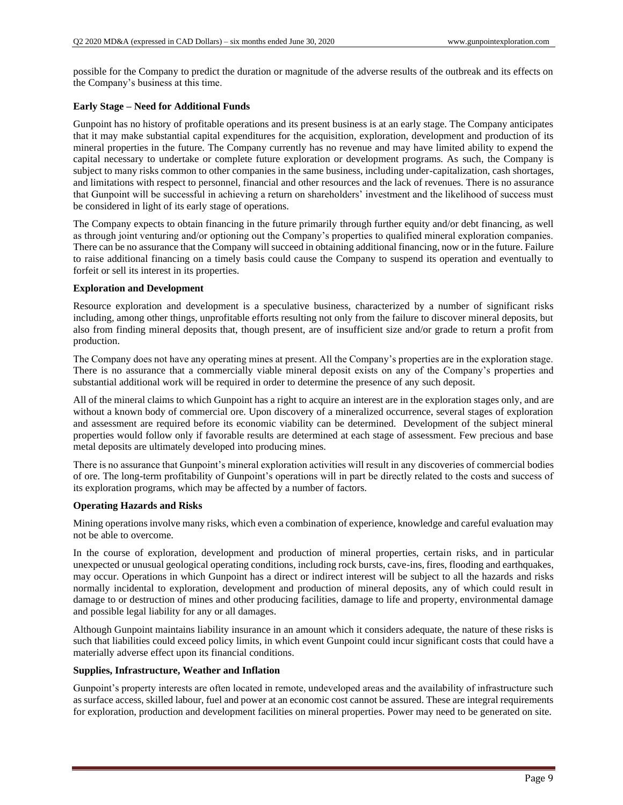possible for the Company to predict the duration or magnitude of the adverse results of the outbreak and its effects on the Company's business at this time.

### **Early Stage – Need for Additional Funds**

Gunpoint has no history of profitable operations and its present business is at an early stage. The Company anticipates that it may make substantial capital expenditures for the acquisition, exploration, development and production of its mineral properties in the future. The Company currently has no revenue and may have limited ability to expend the capital necessary to undertake or complete future exploration or development programs. As such, the Company is subject to many risks common to other companies in the same business, including under-capitalization, cash shortages, and limitations with respect to personnel, financial and other resources and the lack of revenues. There is no assurance that Gunpoint will be successful in achieving a return on shareholders' investment and the likelihood of success must be considered in light of its early stage of operations.

The Company expects to obtain financing in the future primarily through further equity and/or debt financing, as well as through joint venturing and/or optioning out the Company's properties to qualified mineral exploration companies. There can be no assurance that the Company will succeed in obtaining additional financing, now or in the future. Failure to raise additional financing on a timely basis could cause the Company to suspend its operation and eventually to forfeit or sell its interest in its properties.

#### **Exploration and Development**

Resource exploration and development is a speculative business, characterized by a number of significant risks including, among other things, unprofitable efforts resulting not only from the failure to discover mineral deposits, but also from finding mineral deposits that, though present, are of insufficient size and/or grade to return a profit from production.

The Company does not have any operating mines at present. All the Company's properties are in the exploration stage. There is no assurance that a commercially viable mineral deposit exists on any of the Company's properties and substantial additional work will be required in order to determine the presence of any such deposit.

All of the mineral claims to which Gunpoint has a right to acquire an interest are in the exploration stages only, and are without a known body of commercial ore. Upon discovery of a mineralized occurrence, several stages of exploration and assessment are required before its economic viability can be determined. Development of the subject mineral properties would follow only if favorable results are determined at each stage of assessment. Few precious and base metal deposits are ultimately developed into producing mines.

There is no assurance that Gunpoint's mineral exploration activities will result in any discoveries of commercial bodies of ore. The long-term profitability of Gunpoint's operations will in part be directly related to the costs and success of its exploration programs, which may be affected by a number of factors.

#### **Operating Hazards and Risks**

Mining operations involve many risks, which even a combination of experience, knowledge and careful evaluation may not be able to overcome.

In the course of exploration, development and production of mineral properties, certain risks, and in particular unexpected or unusual geological operating conditions, including rock bursts, cave-ins, fires, flooding and earthquakes, may occur. Operations in which Gunpoint has a direct or indirect interest will be subject to all the hazards and risks normally incidental to exploration, development and production of mineral deposits, any of which could result in damage to or destruction of mines and other producing facilities, damage to life and property, environmental damage and possible legal liability for any or all damages.

Although Gunpoint maintains liability insurance in an amount which it considers adequate, the nature of these risks is such that liabilities could exceed policy limits, in which event Gunpoint could incur significant costs that could have a materially adverse effect upon its financial conditions.

#### **Supplies, Infrastructure, Weather and Inflation**

Gunpoint's property interests are often located in remote, undeveloped areas and the availability of infrastructure such as surface access, skilled labour, fuel and power at an economic cost cannot be assured. These are integral requirements for exploration, production and development facilities on mineral properties. Power may need to be generated on site.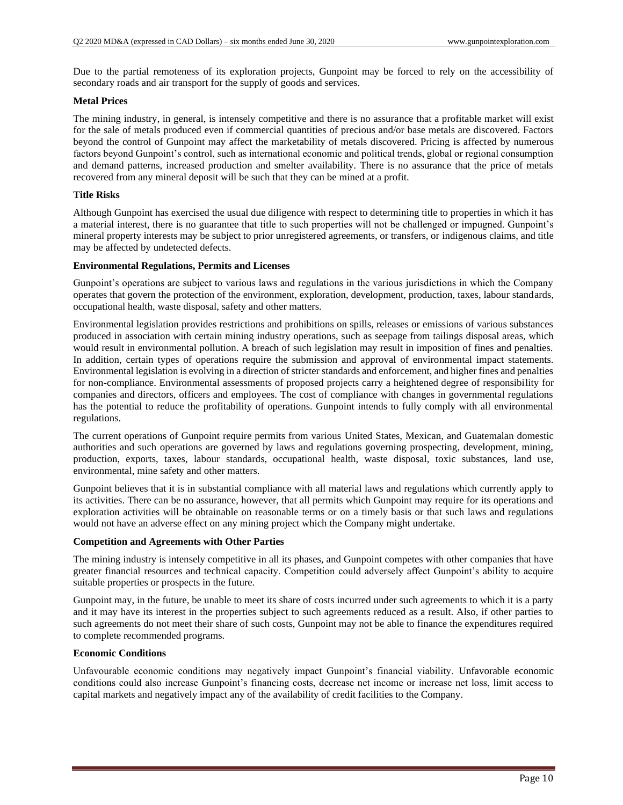Due to the partial remoteness of its exploration projects, Gunpoint may be forced to rely on the accessibility of secondary roads and air transport for the supply of goods and services.

#### **Metal Prices**

The mining industry, in general, is intensely competitive and there is no assurance that a profitable market will exist for the sale of metals produced even if commercial quantities of precious and/or base metals are discovered. Factors beyond the control of Gunpoint may affect the marketability of metals discovered. Pricing is affected by numerous factors beyond Gunpoint's control, such as international economic and political trends, global or regional consumption and demand patterns, increased production and smelter availability. There is no assurance that the price of metals recovered from any mineral deposit will be such that they can be mined at a profit.

#### **Title Risks**

Although Gunpoint has exercised the usual due diligence with respect to determining title to properties in which it has a material interest, there is no guarantee that title to such properties will not be challenged or impugned. Gunpoint's mineral property interests may be subject to prior unregistered agreements, or transfers, or indigenous claims, and title may be affected by undetected defects.

#### **Environmental Regulations, Permits and Licenses**

Gunpoint's operations are subject to various laws and regulations in the various jurisdictions in which the Company operates that govern the protection of the environment, exploration, development, production, taxes, labour standards, occupational health, waste disposal, safety and other matters.

Environmental legislation provides restrictions and prohibitions on spills, releases or emissions of various substances produced in association with certain mining industry operations, such as seepage from tailings disposal areas, which would result in environmental pollution. A breach of such legislation may result in imposition of fines and penalties. In addition, certain types of operations require the submission and approval of environmental impact statements. Environmental legislation is evolving in a direction of stricter standards and enforcement, and higher fines and penalties for non-compliance. Environmental assessments of proposed projects carry a heightened degree of responsibility for companies and directors, officers and employees. The cost of compliance with changes in governmental regulations has the potential to reduce the profitability of operations. Gunpoint intends to fully comply with all environmental regulations.

The current operations of Gunpoint require permits from various United States, Mexican, and Guatemalan domestic authorities and such operations are governed by laws and regulations governing prospecting, development, mining, production, exports, taxes, labour standards, occupational health, waste disposal, toxic substances, land use, environmental, mine safety and other matters.

Gunpoint believes that it is in substantial compliance with all material laws and regulations which currently apply to its activities. There can be no assurance, however, that all permits which Gunpoint may require for its operations and exploration activities will be obtainable on reasonable terms or on a timely basis or that such laws and regulations would not have an adverse effect on any mining project which the Company might undertake.

### **Competition and Agreements with Other Parties**

The mining industry is intensely competitive in all its phases, and Gunpoint competes with other companies that have greater financial resources and technical capacity. Competition could adversely affect Gunpoint's ability to acquire suitable properties or prospects in the future.

Gunpoint may, in the future, be unable to meet its share of costs incurred under such agreements to which it is a party and it may have its interest in the properties subject to such agreements reduced as a result. Also, if other parties to such agreements do not meet their share of such costs, Gunpoint may not be able to finance the expenditures required to complete recommended programs.

#### **Economic Conditions**

Unfavourable economic conditions may negatively impact Gunpoint's financial viability. Unfavorable economic conditions could also increase Gunpoint's financing costs, decrease net income or increase net loss, limit access to capital markets and negatively impact any of the availability of credit facilities to the Company.